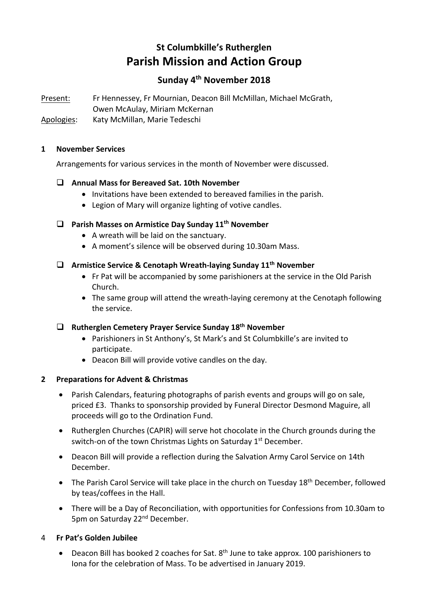# **St Columbkille's Rutherglen Parish Mission and Action Group**

# **Sunday 4th November 2018**

Present: Fr Hennessey, Fr Mournian, Deacon Bill McMillan, Michael McGrath, Owen McAulay, Miriam McKernan

Apologies: Katy McMillan, Marie Tedeschi

#### **1 November Services**

Arrangements for various services in the month of November were discussed.

## q **Annual Mass for Bereaved Sat. 10th November**

- Invitations have been extended to bereaved families in the parish.
- Legion of Mary will organize lighting of votive candles.

## □ Parish Masses on Armistice Day Sunday 11<sup>th</sup> November

- A wreath will be laid on the sanctuary.
- A moment's silence will be observed during 10.30am Mass.

# q **Armistice Service & Cenotaph Wreath-laying Sunday 11th November**

- Fr Pat will be accompanied by some parishioners at the service in the Old Parish Church.
- The same group will attend the wreath-laying ceremony at the Cenotaph following the service.

#### q **Rutherglen Cemetery Prayer Service Sunday 18th November**

- Parishioners in St Anthony's, St Mark's and St Columbkille's are invited to participate.
- Deacon Bill will provide votive candles on the day.

## **2 Preparations for Advent & Christmas**

- Parish Calendars, featuring photographs of parish events and groups will go on sale, priced £3. Thanks to sponsorship provided by Funeral Director Desmond Maguire, all proceeds will go to the Ordination Fund.
- Rutherglen Churches (CAPIR) will serve hot chocolate in the Church grounds during the switch-on of the town Christmas Lights on Saturday 1<sup>st</sup> December.
- Deacon Bill will provide a reflection during the Salvation Army Carol Service on 14th December.
- The Parish Carol Service will take place in the church on Tuesday 18<sup>th</sup> December, followed by teas/coffees in the Hall.
- There will be a Day of Reconciliation, with opportunities for Confessions from 10.30am to 5pm on Saturday 22nd December.

## 4 **Fr Pat's Golden Jubilee**

• Deacon Bill has booked 2 coaches for Sat. 8<sup>th</sup> June to take approx. 100 parishioners to Iona for the celebration of Mass. To be advertised in January 2019.